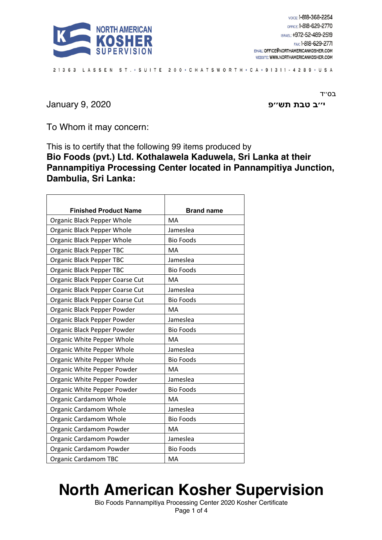

21363 LASSEN ST. . SUITE 200 . CHATSWORTH . CA . 91311 - 4289 . USA

**ב׳׳י תבט שת פ׳׳** 2020 9, January

ב0"T

To Whom it may concern:

This is to certify that the following 99 items produced by **Bio Foods (pvt.) Ltd. Kothalawela Kaduwela, Sri Lanka at their Pannampitiya Processing Center located in Pannampitiya Junction, Dambulia, Sri Lanka:**

| <b>Finished Product Name</b>    | <b>Brand name</b> |
|---------------------------------|-------------------|
| Organic Black Pepper Whole      | MA                |
| Organic Black Pepper Whole      | Jameslea          |
| Organic Black Pepper Whole      | <b>Bio Foods</b>  |
| <b>Organic Black Pepper TBC</b> | <b>MA</b>         |
| Organic Black Pepper TBC        | Jameslea          |
| Organic Black Pepper TBC        | <b>Bio Foods</b>  |
| Organic Black Pepper Coarse Cut | <b>MA</b>         |
| Organic Black Pepper Coarse Cut | Jameslea          |
| Organic Black Pepper Coarse Cut | <b>Bio Foods</b>  |
| Organic Black Pepper Powder     | <b>MA</b>         |
| Organic Black Pepper Powder     | Jameslea          |
| Organic Black Pepper Powder     | <b>Bio Foods</b>  |
| Organic White Pepper Whole      | <b>MA</b>         |
| Organic White Pepper Whole      | Jameslea          |
| Organic White Pepper Whole      | <b>Bio Foods</b>  |
| Organic White Pepper Powder     | <b>MA</b>         |
| Organic White Pepper Powder     | Jameslea          |
| Organic White Pepper Powder     | <b>Bio Foods</b>  |
| Organic Cardamom Whole          | MA                |
| Organic Cardamom Whole          | Jameslea          |
| <b>Organic Cardamom Whole</b>   | <b>Bio Foods</b>  |
| Organic Cardamom Powder         | <b>MA</b>         |
| Organic Cardamom Powder         | Jameslea          |
| Organic Cardamom Powder         | <b>Bio Foods</b>  |
| <b>Organic Cardamom TBC</b>     | MA                |

## **North American Kosher Supervision**

Bio Foods Pannampitiya Processing Center 2020 Kosher Certificate Page 1 of 4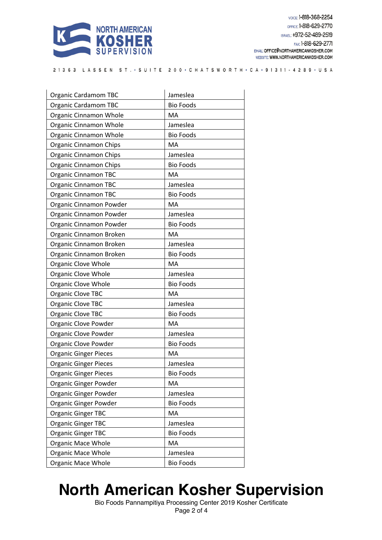

21363 LASSEN ST. · SUITE 200 · CHATSWORTH · CA · 91311 - 4289 · USA

| <b>Organic Cardamom TBC</b>  | Jameslea         |
|------------------------------|------------------|
| <b>Organic Cardamom TBC</b>  | <b>Bio Foods</b> |
| Organic Cinnamon Whole       | MA               |
| Organic Cinnamon Whole       | Jameslea         |
| Organic Cinnamon Whole       | <b>Bio Foods</b> |
| Organic Cinnamon Chips       | MA               |
| Organic Cinnamon Chips       | Jameslea         |
| Organic Cinnamon Chips       | <b>Bio Foods</b> |
| <b>Organic Cinnamon TBC</b>  | MA               |
| <b>Organic Cinnamon TBC</b>  | Jameslea         |
| <b>Organic Cinnamon TBC</b>  | <b>Bio Foods</b> |
| Organic Cinnamon Powder      | MA               |
| Organic Cinnamon Powder      | Jameslea         |
| Organic Cinnamon Powder      | <b>Bio Foods</b> |
| Organic Cinnamon Broken      | <b>MA</b>        |
| Organic Cinnamon Broken      | Jameslea         |
| Organic Cinnamon Broken      | <b>Bio Foods</b> |
| Organic Clove Whole          | <b>MA</b>        |
| Organic Clove Whole          | Jameslea         |
| Organic Clove Whole          | <b>Bio Foods</b> |
| Organic Clove TBC            | MA               |
| Organic Clove TBC            | Jameslea         |
| Organic Clove TBC            | <b>Bio Foods</b> |
| Organic Clove Powder         | MA               |
| Organic Clove Powder         | Jameslea         |
| Organic Clove Powder         | <b>Bio Foods</b> |
| <b>Organic Ginger Pieces</b> | MA               |
| <b>Organic Ginger Pieces</b> | Jameslea         |
| <b>Organic Ginger Pieces</b> | <b>Bio Foods</b> |
| Organic Ginger Powder        | MA               |
| Organic Ginger Powder        | Jameslea         |
| Organic Ginger Powder        | <b>Bio Foods</b> |
| <b>Organic Ginger TBC</b>    | MA               |
| <b>Organic Ginger TBC</b>    | Jameslea         |
| <b>Organic Ginger TBC</b>    | <b>Bio Foods</b> |
| <b>Organic Mace Whole</b>    | MA               |
| <b>Organic Mace Whole</b>    | Jameslea         |
| Organic Mace Whole           | <b>Bio Foods</b> |

## **North American Kosher Supervision**

Bio Foods Pannampitiya Processing Center 2019 Kosher Certificate Page 2 of 4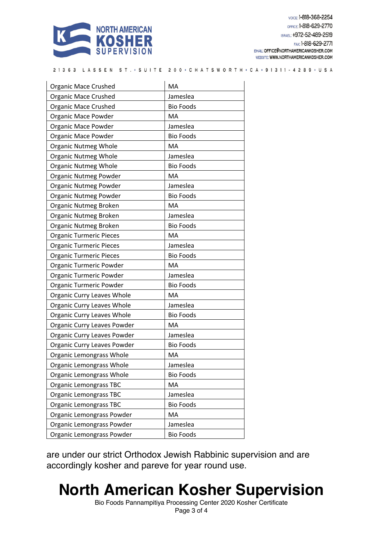

VOICE: 1-818-368-2254 OFFICE: 1-818-629-2770 ISRAEL: +972-52-489-2519 FAX: 1-818-629-2771 EMAIL: OFFICE@NORTHAMERICANKOSHER.COM WEBSITE: WWW.NORTHAMERICANKOSHER.COM

21363 LASSEN ST. · SUITE 200 · CHATSWORTH · CA · 91311 - 4289 · USA

| <b>Organic Mace Crushed</b>       | MA               |
|-----------------------------------|------------------|
| <b>Organic Mace Crushed</b>       | Jameslea         |
| <b>Organic Mace Crushed</b>       | <b>Bio Foods</b> |
| Organic Mace Powder               | <b>MA</b>        |
| <b>Organic Mace Powder</b>        | Jameslea         |
| Organic Mace Powder               | <b>Bio Foods</b> |
| <b>Organic Nutmeg Whole</b>       | <b>MA</b>        |
| <b>Organic Nutmeg Whole</b>       | Jameslea         |
| <b>Organic Nutmeg Whole</b>       | <b>Bio Foods</b> |
| Organic Nutmeg Powder             | MA               |
| Organic Nutmeg Powder             | Jameslea         |
| Organic Nutmeg Powder             | <b>Bio Foods</b> |
| Organic Nutmeg Broken             | <b>MA</b>        |
| Organic Nutmeg Broken             | Jameslea         |
| Organic Nutmeg Broken             | <b>Bio Foods</b> |
| <b>Organic Turmeric Pieces</b>    | MA               |
| <b>Organic Turmeric Pieces</b>    | Jameslea         |
| <b>Organic Turmeric Pieces</b>    | <b>Bio Foods</b> |
| Organic Turmeric Powder           | MA               |
| Organic Turmeric Powder           | Jameslea         |
| Organic Turmeric Powder           | <b>Bio Foods</b> |
| Organic Curry Leaves Whole        | MA               |
| Organic Curry Leaves Whole        | Jameslea         |
| <b>Organic Curry Leaves Whole</b> | <b>Bio Foods</b> |
| Organic Curry Leaves Powder       | <b>MA</b>        |
| Organic Curry Leaves Powder       | Jameslea         |
| Organic Curry Leaves Powder       | <b>Bio Foods</b> |
| Organic Lemongrass Whole          | <b>MA</b>        |
| Organic Lemongrass Whole          | Jameslea         |
| Organic Lemongrass Whole          | <b>Bio Foods</b> |
| <b>Organic Lemongrass TBC</b>     | MA               |
| Organic Lemongrass TBC            | Jameslea         |
| <b>Organic Lemongrass TBC</b>     | <b>Bio Foods</b> |
| Organic Lemongrass Powder         | MA               |
| Organic Lemongrass Powder         | Jameslea         |
| Organic Lemongrass Powder         | <b>Bio Foods</b> |

are under our strict Orthodox Jewish Rabbinic supervision and are accordingly kosher and pareve for year round use.

## **North American Kosher Supervision**

Bio Foods Pannampitiya Processing Center 2020 Kosher Certificate Page 3 of 4